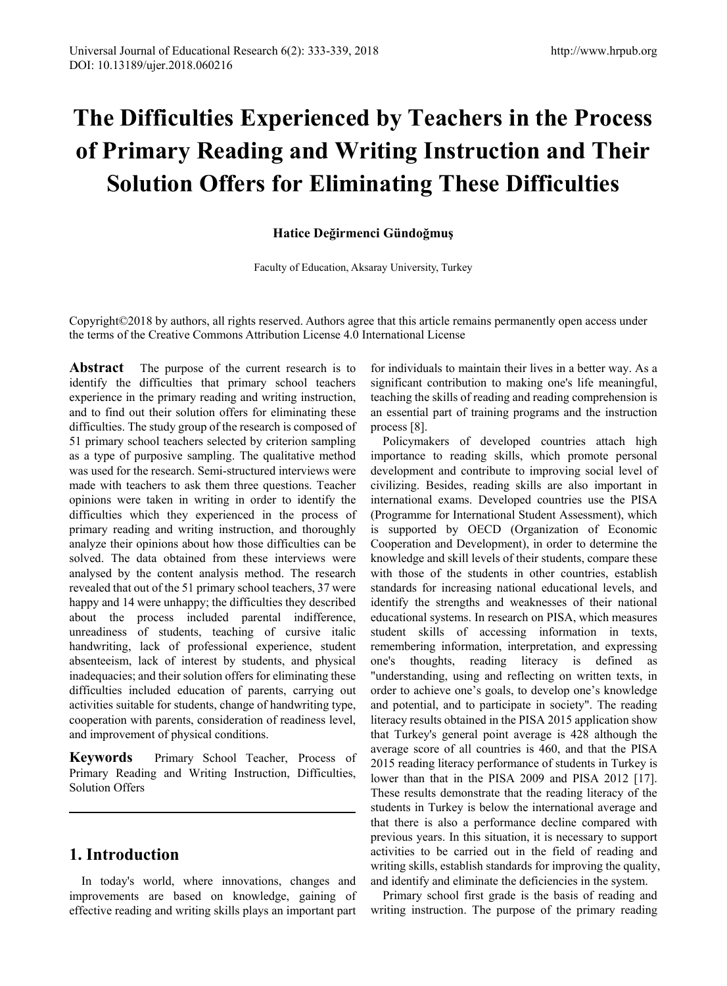# **The Difficulties Experienced by Teachers in the Process of Primary Reading and Writing Instruction and Their Solution Offers for Eliminating These Difficulties**

#### **Hatice Değirmenci Gündoğmuş**

Faculty of Education, Aksaray University, Turkey

Copyright©2018 by authors, all rights reserved. Authors agree that this article remains permanently open access under the terms of the Creative Commons Attribution License 4.0 International License

**Abstract** The purpose of the current research is to identify the difficulties that primary school teachers experience in the primary reading and writing instruction, and to find out their solution offers for eliminating these difficulties. The study group of the research is composed of 51 primary school teachers selected by criterion sampling as a type of purposive sampling. The qualitative method was used for the research. Semi-structured interviews were made with teachers to ask them three questions. Teacher opinions were taken in writing in order to identify the difficulties which they experienced in the process of primary reading and writing instruction, and thoroughly analyze their opinions about how those difficulties can be solved. The data obtained from these interviews were analysed by the content analysis method. The research revealed that out of the 51 primary school teachers, 37 were happy and 14 were unhappy; the difficulties they described about the process included parental indifference, unreadiness of students, teaching of cursive italic handwriting, lack of professional experience, student absenteeism, lack of interest by students, and physical inadequacies; and their solution offers for eliminating these difficulties included education of parents, carrying out activities suitable for students, change of handwriting type, cooperation with parents, consideration of readiness level, and improvement of physical conditions.

**Keywords** Primary School Teacher, Process of Primary Reading and Writing Instruction, Difficulties, Solution Offers

## **1. Introduction**

In today's world, where innovations, changes and improvements are based on knowledge, gaining of effective reading and writing skills plays an important part for individuals to maintain their lives in a better way. As a significant contribution to making one's life meaningful, teaching the skills of reading and reading comprehension is an essential part of training programs and the instruction process [8].

Policymakers of developed countries attach high importance to reading skills, which promote personal development and contribute to improving social level of civilizing. Besides, reading skills are also important in international exams. Developed countries use the PISA (Programme for International Student Assessment), which is supported by OECD (Organization of Economic Cooperation and Development), in order to determine the knowledge and skill levels of their students, compare these with those of the students in other countries, establish standards for increasing national educational levels, and identify the strengths and weaknesses of their national educational systems. In research on PISA, which measures student skills of accessing information in texts, remembering information, interpretation, and expressing one's thoughts, reading literacy is defined as "understanding, using and reflecting on written texts, in order to achieve one's goals, to develop one's knowledge and potential, and to participate in society". The reading literacy results obtained in the PISA 2015 application show that Turkey's general point average is 428 although the average score of all countries is 460, and that the PISA 2015 reading literacy performance of students in Turkey is lower than that in the PISA 2009 and PISA 2012 [17]. These results demonstrate that the reading literacy of the students in Turkey is below the international average and that there is also a performance decline compared with previous years. In this situation, it is necessary to support activities to be carried out in the field of reading and writing skills, establish standards for improving the quality, and identify and eliminate the deficiencies in the system.

Primary school first grade is the basis of reading and writing instruction. The purpose of the primary reading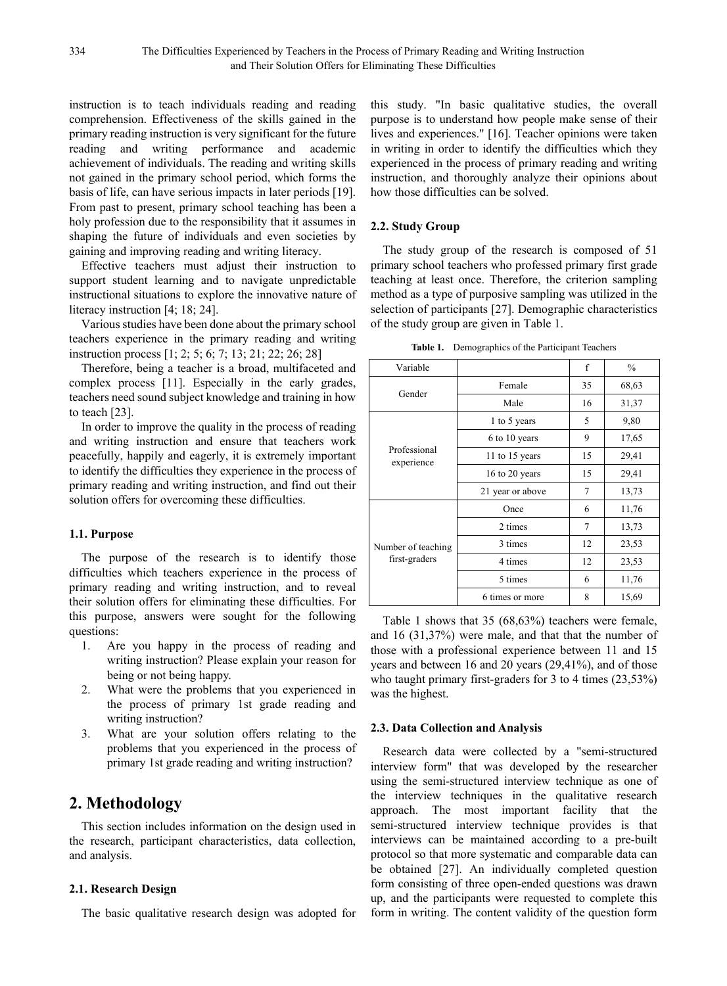instruction is to teach individuals reading and reading comprehension. Effectiveness of the skills gained in the primary reading instruction is very significant for the future reading and writing performance and academic achievement of individuals. The reading and writing skills not gained in the primary school period, which forms the basis of life, can have serious impacts in later periods [19]. From past to present, primary school teaching has been a holy profession due to the responsibility that it assumes in shaping the future of individuals and even societies by gaining and improving reading and writing literacy.

Effective teachers must adjust their instruction to support student learning and to navigate unpredictable instructional situations to explore the innovative nature of literacy instruction [4; 18; 24].

Various studies have been done about the primary school teachers experience in the primary reading and writing instruction process [1; 2; 5; 6; 7; 13; 21; 22; 26; 28]

Therefore, being a teacher is a broad, multifaceted and complex process [11]. Especially in the early grades, teachers need sound subject knowledge and training in how to teach [23].

In order to improve the quality in the process of reading and writing instruction and ensure that teachers work peacefully, happily and eagerly, it is extremely important to identify the difficulties they experience in the process of primary reading and writing instruction, and find out their solution offers for overcoming these difficulties.

#### **1.1. Purpose**

The purpose of the research is to identify those difficulties which teachers experience in the process of primary reading and writing instruction, and to reveal their solution offers for eliminating these difficulties. For this purpose, answers were sought for the following questions:

- 1. Are you happy in the process of reading and writing instruction? Please explain your reason for being or not being happy.
- 2. What were the problems that you experienced in the process of primary 1st grade reading and writing instruction?
- 3. What are your solution offers relating to the problems that you experienced in the process of primary 1st grade reading and writing instruction?

## **2. Methodology**

This section includes information on the design used in the research, participant characteristics, data collection, and analysis.

#### **2.1. Research Design**

The basic qualitative research design was adopted for

this study. "In basic qualitative studies, the overall purpose is to understand how people make sense of their lives and experiences." [16]. Teacher opinions were taken in writing in order to identify the difficulties which they experienced in the process of primary reading and writing instruction, and thoroughly analyze their opinions about how those difficulties can be solved.

#### **2.2. Study Group**

The study group of the research is composed of 51 primary school teachers who professed primary first grade teaching at least once. Therefore, the criterion sampling method as a type of purposive sampling was utilized in the selection of participants [27]. Demographic characteristics of the study group are given in Table 1.

|  | <b>Table 1.</b> Demographics of the Participant Teachers |
|--|----------------------------------------------------------|
|--|----------------------------------------------------------|

| Variable                            |                  | f  | $\frac{0}{0}$ |
|-------------------------------------|------------------|----|---------------|
|                                     | Female           | 35 | 68,63         |
| Gender                              | Male             | 16 | 31,37         |
| Professional<br>experience          | 1 to 5 years     | 5  | 9,80          |
|                                     | 6 to 10 years    | 9  | 17,65         |
|                                     | 11 to 15 years   | 15 | 29,41         |
|                                     | 16 to 20 years   | 15 | 29,41         |
|                                     | 21 year or above | 7  | 13,73         |
| Number of teaching<br>first-graders | Once             | 6  | 11,76         |
|                                     | 2 times          | 7  | 13,73         |
|                                     | 3 times          | 12 | 23,53         |
|                                     | 4 times          | 12 | 23,53         |
|                                     | 5 times          | 6  | 11,76         |
|                                     | 6 times or more  | 8  | 15,69         |

Table 1 shows that 35 (68,63%) teachers were female, and 16 (31,37%) were male, and that that the number of those with a professional experience between 11 and 15 years and between 16 and 20 years (29,41%), and of those who taught primary first-graders for 3 to 4 times (23,53%) was the highest.

#### **2.3. Data Collection and Analysis**

Research data were collected by a "semi-structured interview form" that was developed by the researcher using the semi-structured interview technique as one of the interview techniques in the qualitative research approach. The most important facility that the semi-structured interview technique provides is that interviews can be maintained according to a pre-built protocol so that more systematic and comparable data can be obtained [27]. An individually completed question form consisting of three open-ended questions was drawn up, and the participants were requested to complete this form in writing. The content validity of the question form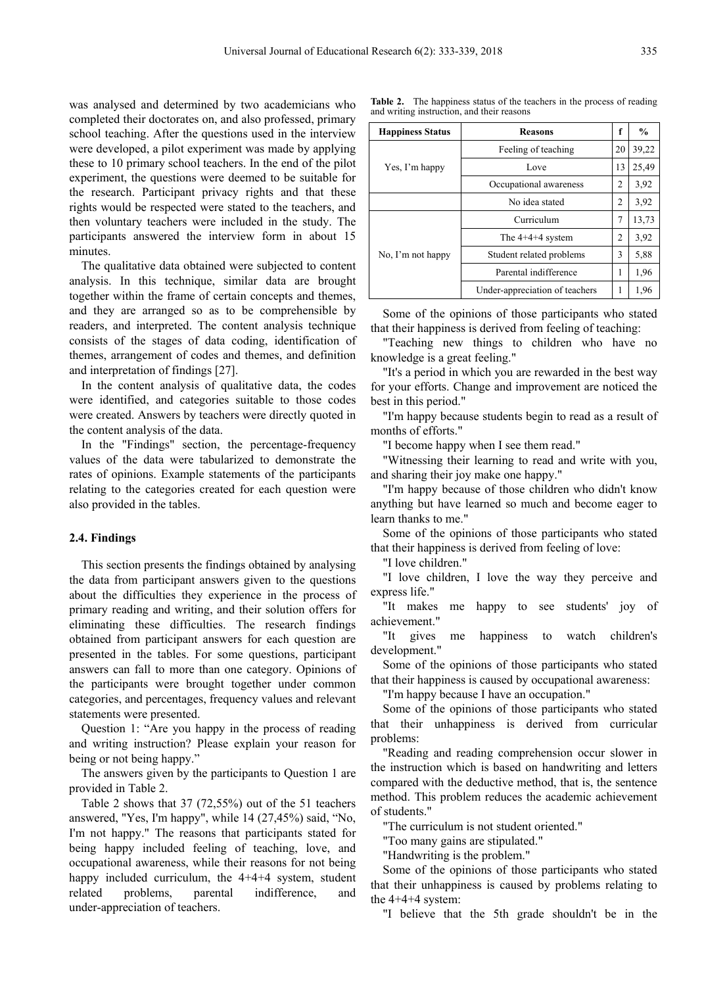was analysed and determined by two academicians who completed their doctorates on, and also professed, primary school teaching. After the questions used in the interview were developed, a pilot experiment was made by applying these to 10 primary school teachers. In the end of the pilot experiment, the questions were deemed to be suitable for the research. Participant privacy rights and that these rights would be respected were stated to the teachers, and then voluntary teachers were included in the study. The participants answered the interview form in about 15 minutes.

The qualitative data obtained were subjected to content analysis. In this technique, similar data are brought together within the frame of certain concepts and themes, and they are arranged so as to be comprehensible by readers, and interpreted. The content analysis technique consists of the stages of data coding, identification of themes, arrangement of codes and themes, and definition and interpretation of findings [27].

In the content analysis of qualitative data, the codes were identified, and categories suitable to those codes were created. Answers by teachers were directly quoted in the content analysis of the data.

In the "Findings" section, the percentage-frequency values of the data were tabularized to demonstrate the rates of opinions. Example statements of the participants relating to the categories created for each question were also provided in the tables.

#### **2.4. Findings**

This section presents the findings obtained by analysing the data from participant answers given to the questions about the difficulties they experience in the process of primary reading and writing, and their solution offers for eliminating these difficulties. The research findings obtained from participant answers for each question are presented in the tables. For some questions, participant answers can fall to more than one category. Opinions of the participants were brought together under common categories, and percentages, frequency values and relevant statements were presented.

Question 1: "Are you happy in the process of reading and writing instruction? Please explain your reason for being or not being happy."

The answers given by the participants to Question 1 are provided in Table 2.

Table 2 shows that 37 (72,55%) out of the 51 teachers answered, "Yes, I'm happy", while 14 (27,45%) said, "No, I'm not happy." The reasons that participants stated for being happy included feeling of teaching, love, and occupational awareness, while their reasons for not being happy included curriculum, the 4+4+4 system, student related problems, parental indifference, and under-appreciation of teachers.

**Table 2.** The happiness status of the teachers in the process of reading and writing instruction, and their reasons

| <b>Happiness Status</b> | <b>Reasons</b>                 | f  | $\frac{0}{0}$ |
|-------------------------|--------------------------------|----|---------------|
|                         | Feeling of teaching            | 20 | 39,22         |
| Yes, I'm happy          | Love                           | 13 | 25,49         |
|                         | Occupational awareness         | 2  | 3,92          |
|                         | No idea stated                 | 2  | 3,92          |
|                         | Curriculum                     | 7  | 13,73         |
| No. I'm not happy       | The $4+4+4$ system             | 2  | 3,92          |
|                         | Student related problems       | 3  | 5,88          |
|                         | Parental indifference          | 1  | 1,96          |
|                         | Under-appreciation of teachers | 1  | 1,96          |

Some of the opinions of those participants who stated that their happiness is derived from feeling of teaching:

"Teaching new things to children who have no knowledge is a great feeling."

"It's a period in which you are rewarded in the best way for your efforts. Change and improvement are noticed the best in this period."

"I'm happy because students begin to read as a result of months of efforts."

"I become happy when I see them read."

"Witnessing their learning to read and write with you, and sharing their joy make one happy."

"I'm happy because of those children who didn't know anything but have learned so much and become eager to learn thanks to me."

Some of the opinions of those participants who stated that their happiness is derived from feeling of love:

"I love children."

"I love children, I love the way they perceive and express life."

"It makes me happy to see students' joy of achievement."

"It gives me happiness to watch children's development."

Some of the opinions of those participants who stated that their happiness is caused by occupational awareness:

"I'm happy because I have an occupation."

Some of the opinions of those participants who stated that their unhappiness is derived from curricular problems:

"Reading and reading comprehension occur slower in the instruction which is based on handwriting and letters compared with the deductive method, that is, the sentence method. This problem reduces the academic achievement of students."

"The curriculum is not student oriented."

"Too many gains are stipulated."

"Handwriting is the problem."

Some of the opinions of those participants who stated that their unhappiness is caused by problems relating to the  $4+4+4$  system:

"I believe that the 5th grade shouldn't be in the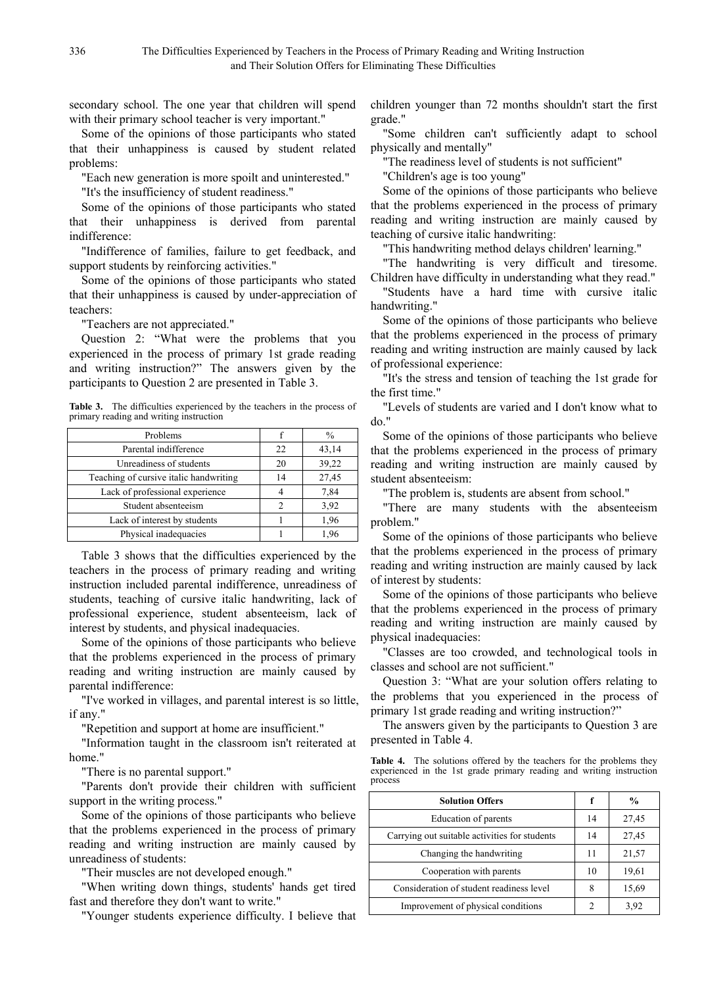secondary school. The one year that children will spend with their primary school teacher is very important."

Some of the opinions of those participants who stated that their unhappiness is caused by student related problems:

"Each new generation is more spoilt and uninterested."

"It's the insufficiency of student readiness."

Some of the opinions of those participants who stated that their unhappiness is derived from parental indifference:

"Indifference of families, failure to get feedback, and support students by reinforcing activities."

Some of the opinions of those participants who stated that their unhappiness is caused by under-appreciation of teachers:

"Teachers are not appreciated."

Question 2: "What were the problems that you experienced in the process of primary 1st grade reading and writing instruction?" The answers given by the participants to Question 2 are presented in Table 3.

Table 3. The difficulties experienced by the teachers in the process of primary reading and writing instruction

| Problems                               |               | %     |
|----------------------------------------|---------------|-------|
| Parental indifference                  | 22            | 43,14 |
| Unreadiness of students                | 20            | 39,22 |
| Teaching of cursive italic handwriting | 14            | 27,45 |
| Lack of professional experience        |               | 7.84  |
| Student absenteeism                    | $\mathcal{P}$ | 3,92  |
| Lack of interest by students           |               | 1,96  |
| Physical inadequacies                  |               | 1.96  |

Table 3 shows that the difficulties experienced by the teachers in the process of primary reading and writing instruction included parental indifference, unreadiness of students, teaching of cursive italic handwriting, lack of professional experience, student absenteeism, lack of interest by students, and physical inadequacies.

Some of the opinions of those participants who believe that the problems experienced in the process of primary reading and writing instruction are mainly caused by parental indifference:

"I've worked in villages, and parental interest is so little, if any."

"Repetition and support at home are insufficient."

"Information taught in the classroom isn't reiterated at home."

"There is no parental support."

"Parents don't provide their children with sufficient support in the writing process."

Some of the opinions of those participants who believe that the problems experienced in the process of primary reading and writing instruction are mainly caused by unreadiness of students:

"Their muscles are not developed enough."

"When writing down things, students' hands get tired fast and therefore they don't want to write."

"Younger students experience difficulty. I believe that

children younger than 72 months shouldn't start the first grade."

"Some children can't sufficiently adapt to school physically and mentally"

"The readiness level of students is not sufficient"

"Children's age is too young"

Some of the opinions of those participants who believe that the problems experienced in the process of primary reading and writing instruction are mainly caused by teaching of cursive italic handwriting:

"This handwriting method delays children' learning."

"The handwriting is very difficult and tiresome. Children have difficulty in understanding what they read."

"Students have a hard time with cursive italic handwriting."

Some of the opinions of those participants who believe that the problems experienced in the process of primary reading and writing instruction are mainly caused by lack of professional experience:

"It's the stress and tension of teaching the 1st grade for the first time."

"Levels of students are varied and I don't know what to do."

Some of the opinions of those participants who believe that the problems experienced in the process of primary reading and writing instruction are mainly caused by student absenteeism:

"The problem is, students are absent from school."

"There are many students with the absenteeism problem."

Some of the opinions of those participants who believe that the problems experienced in the process of primary reading and writing instruction are mainly caused by lack of interest by students:

Some of the opinions of those participants who believe that the problems experienced in the process of primary reading and writing instruction are mainly caused by physical inadequacies:

"Classes are too crowded, and technological tools in classes and school are not sufficient."

Question 3: "What are your solution offers relating to the problems that you experienced in the process of primary 1st grade reading and writing instruction?"

The answers given by the participants to Question 3 are presented in Table 4.

Table 4. The solutions offered by the teachers for the problems they experienced in the 1st grade primary reading and writing instruction process

| <b>Solution Offers</b>                        |  | $\frac{0}{0}$ |
|-----------------------------------------------|--|---------------|
| Education of parents                          |  | 27,45         |
| Carrying out suitable activities for students |  | 27,45         |
| Changing the handwriting                      |  | 21,57         |
| Cooperation with parents                      |  | 19,61         |
| Consideration of student readiness level      |  | 15,69         |
| Improvement of physical conditions            |  | 3.92          |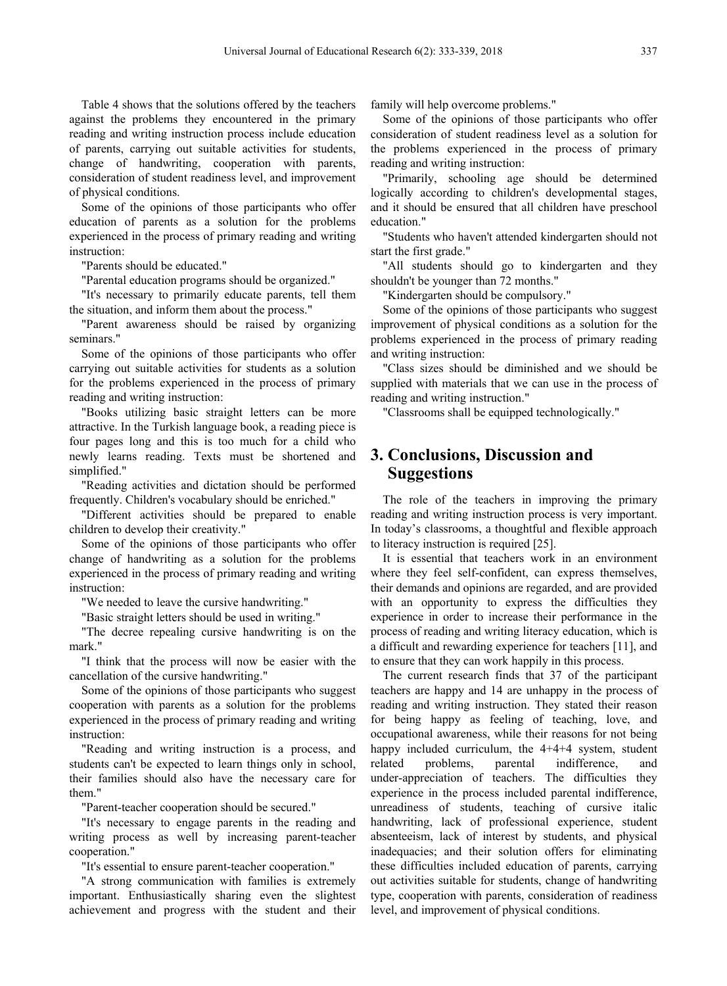Table 4 shows that the solutions offered by the teachers against the problems they encountered in the primary reading and writing instruction process include education of parents, carrying out suitable activities for students, change of handwriting, cooperation with parents, consideration of student readiness level, and improvement of physical conditions.

Some of the opinions of those participants who offer education of parents as a solution for the problems experienced in the process of primary reading and writing instruction:

"Parents should be educated."

"Parental education programs should be organized."

"It's necessary to primarily educate parents, tell them the situation, and inform them about the process."

"Parent awareness should be raised by organizing seminars."

Some of the opinions of those participants who offer carrying out suitable activities for students as a solution for the problems experienced in the process of primary reading and writing instruction:

"Books utilizing basic straight letters can be more attractive. In the Turkish language book, a reading piece is four pages long and this is too much for a child who newly learns reading. Texts must be shortened and simplified."

"Reading activities and dictation should be performed frequently. Children's vocabulary should be enriched."

"Different activities should be prepared to enable children to develop their creativity."

Some of the opinions of those participants who offer change of handwriting as a solution for the problems experienced in the process of primary reading and writing instruction:

"We needed to leave the cursive handwriting."

"Basic straight letters should be used in writing."

"The decree repealing cursive handwriting is on the mark."

"I think that the process will now be easier with the cancellation of the cursive handwriting."

Some of the opinions of those participants who suggest cooperation with parents as a solution for the problems experienced in the process of primary reading and writing instruction:

"Reading and writing instruction is a process, and students can't be expected to learn things only in school, their families should also have the necessary care for them."

"Parent-teacher cooperation should be secured."

"It's necessary to engage parents in the reading and writing process as well by increasing parent-teacher cooperation."

"It's essential to ensure parent-teacher cooperation."

"A strong communication with families is extremely important. Enthusiastically sharing even the slightest achievement and progress with the student and their family will help overcome problems."

Some of the opinions of those participants who offer consideration of student readiness level as a solution for the problems experienced in the process of primary reading and writing instruction:

"Primarily, schooling age should be determined logically according to children's developmental stages, and it should be ensured that all children have preschool education."

"Students who haven't attended kindergarten should not start the first grade."

"All students should go to kindergarten and they shouldn't be younger than 72 months."

"Kindergarten should be compulsory."

Some of the opinions of those participants who suggest improvement of physical conditions as a solution for the problems experienced in the process of primary reading and writing instruction:

"Class sizes should be diminished and we should be supplied with materials that we can use in the process of reading and writing instruction."

"Classrooms shall be equipped technologically."

# **3. Conclusions, Discussion and Suggestions**

The role of the teachers in improving the primary reading and writing instruction process is very important. In today's classrooms, a thoughtful and flexible approach to literacy instruction is required [25].

It is essential that teachers work in an environment where they feel self-confident, can express themselves, their demands and opinions are regarded, and are provided with an opportunity to express the difficulties they experience in order to increase their performance in the process of reading and writing literacy education, which is a difficult and rewarding experience for teachers [11], and to ensure that they can work happily in this process.

The current research finds that 37 of the participant teachers are happy and 14 are unhappy in the process of reading and writing instruction. They stated their reason for being happy as feeling of teaching, love, and occupational awareness, while their reasons for not being happy included curriculum, the 4+4+4 system, student related problems, parental indifference, and under-appreciation of teachers. The difficulties they experience in the process included parental indifference, unreadiness of students, teaching of cursive italic handwriting, lack of professional experience, student absenteeism, lack of interest by students, and physical inadequacies; and their solution offers for eliminating these difficulties included education of parents, carrying out activities suitable for students, change of handwriting type, cooperation with parents, consideration of readiness level, and improvement of physical conditions.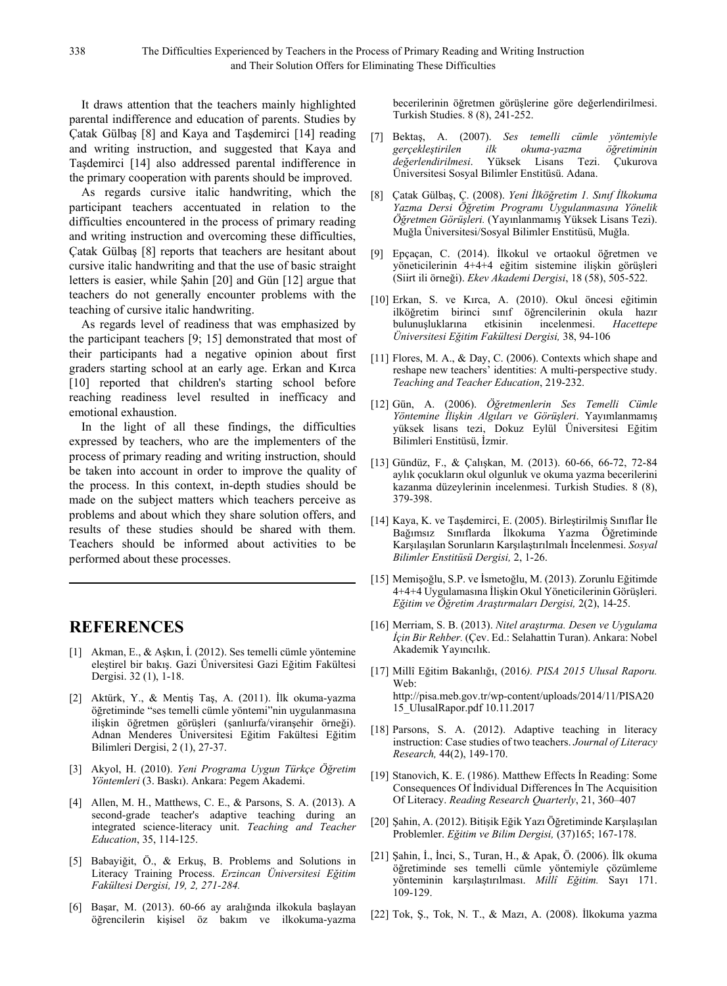It draws attention that the teachers mainly highlighted parental indifference and education of parents. Studies by Çatak Gülbaş [8] and Kaya and Taşdemirci [14] reading and writing instruction, and suggested that Kaya and Taşdemirci [14] also addressed parental indifference in the primary cooperation with parents should be improved.

As regards cursive italic handwriting, which the participant teachers accentuated in relation to the difficulties encountered in the process of primary reading and writing instruction and overcoming these difficulties, Çatak Gülbaş [8] reports that teachers are hesitant about cursive italic handwriting and that the use of basic straight letters is easier, while Şahin [20] and Gün [12] argue that teachers do not generally encounter problems with the teaching of cursive italic handwriting.

As regards level of readiness that was emphasized by the participant teachers [9; 15] demonstrated that most of their participants had a negative opinion about first graders starting school at an early age. Erkan and Kırca [10] reported that children's starting school before reaching readiness level resulted in inefficacy and emotional exhaustion.

In the light of all these findings, the difficulties expressed by teachers, who are the implementers of the process of primary reading and writing instruction, should be taken into account in order to improve the quality of the process. In this context, in-depth studies should be made on the subject matters which teachers perceive as problems and about which they share solution offers, and results of these studies should be shared with them. Teachers should be informed about activities to be performed about these processes.

### **REFERENCES**

- [1] Akman, E., & Aşkın, İ. (2012). Ses temelli cümle yöntemine eleştirel bir bakış. Gazi Üniversitesi Gazi Eğitim Fakültesi Dergisi. 32 (1), 1-18.
- [2] Aktürk, Y., & Mentiş Taş, A. (2011). İlk okuma-yazma öğretiminde "ses temelli cümle yöntemi"nin uygulanmasına ilişkin öğretmen görüşleri (şanlıurfa/viranşehir örneği). Adnan Menderes Üniversitesi Eğitim Fakültesi Eğitim Bilimleri Dergisi, 2 (1), 27-37.
- [3] Akyol, H. (2010). *Yeni Programa Uygun Türkçe Öğretim Yöntemleri* (3. Baskı). Ankara: Pegem Akademi.
- [4] Allen, M. H., Matthews, C. E., & Parsons, S. A. (2013). A second-grade teacher's adaptive teaching during an integrated science-literacy unit. *Teaching and Teacher Education*, 35, 114-125.
- [5] Babayiğit, Ö., & Erkuş, B. Problems and Solutions in Literacy Training Process. *Erzincan Üniversitesi Eğitim Fakültesi Dergisi, 19, 2, 271-284.*
- [6] Başar, M. (2013). 60-66 ay aralığında ilkokula başlayan öğrencilerin kişisel öz bakım ve ilkokuma-yazma

becerilerinin öğretmen görüşlerine göre değerlendirilmesi. Turkish Studies. 8 (8), 241-252.

- [7] Bektaş, A. (2007). *Ses temelli cümle yöntemiyle gerçekleştirilen ilk okuma-yazma öğretiminin*  Yüksek Lisans Tezi. Üniversitesi Sosyal Bilimler Enstitüsü. Adana.
- [8] Çatak Gülbaş, Ç. (2008). *Yeni İlköğretim 1. Sınıf İlkokuma Yazma Dersi Öğretim Programı Uygulanmasına Yönelik Öğretmen Görüşleri.* (Yayınlanmamış Yüksek Lisans Tezi). Muğla Üniversitesi/Sosyal Bilimler Enstitüsü, Muğla.
- [9] Epçaçan, C. (2014). İlkokul ve ortaokul öğretmen ve yöneticilerinin 4+4+4 eğitim sistemine ilişkin görüşleri (Siirt ili örneği). *Ekev Akademi Dergisi*, 18 (58), 505-522.
- [10] Erkan, S. ve Kırca, A. (2010). Okul öncesi eğitimin ilköğretim birinci sınıf öğrencilerinin okula hazır bulunuşluklarına etkisinin incelenmesi. *Hacettepe Üniversitesi Eğitim Fakültesi Dergisi,* 38, 94-106
- [11] Flores, M. A., & Day, C. (2006). Contexts which shape and reshape new teachers' identities: A multi-perspective study. *Teaching and Teacher Education*, 219-232.
- [12] Gün, A. (2006). *Öğretmenlerin Ses Temelli Cümle Yöntemine İlişkin Algıları ve Görüşleri*. Yayımlanmamış yüksek lisans tezi, Dokuz Eylül Üniversitesi Eğitim Bilimleri Enstitüsü, İzmir.
- [13] Gündüz, F., & Çalışkan, M. (2013). 60-66, 66-72, 72-84 aylık çocukların okul olgunluk ve okuma yazma becerilerini kazanma düzeylerinin incelenmesi. Turkish Studies. 8 (8), 379-398.
- [14] Kaya, K. ve Taşdemirci, E. (2005). Birleştirilmiş Sınıflar İle Bağımsız Sınıflarda İlkokuma Yazma Öğretiminde Karşılaşılan Sorunların Karşılaştırılmalı İncelenmesi. *Sosyal Bilimler Enstitüsü Dergisi,* 2, 1-26.
- [15] Memişoğlu, S.P. ve İsmetoğlu, M. (2013). Zorunlu Eğitimde 4+4+4 Uygulamasına İlişkin Okul Yöneticilerinin Görüşleri. *Eğitim ve Öğretim Araştırmaları Dergisi,* 2(2), 14-25.
- [16] Merriam, S. B. (2013). *Nitel araştırma. Desen ve Uygulama İçin Bir Rehber.* (Çev. Ed.: Selahattin Turan). Ankara: Nobel Akademik Yayıncılık.
- [17] Millî Eğitim Bakanlığı, (2016*). PISA 2015 Ulusal Raporu.* Web: http://pisa.meb.gov.tr/wp-content/uploads/2014/11/PISA20 15\_UlusalRapor.pdf 10.11.2017
- [18] Parsons, S. A. (2012). Adaptive teaching in literacy instruction: Case studies of two teachers. *Journal of Literacy Research,* 44(2), 149-170.
- [19] Stanovich, K. E. (1986). Matthew Effects İn Reading: Some Consequences Of İndividual Differences İn The Acquisition Of Literacy. *Reading Research Quarterly*, 21, 360–407
- [20] Şahin, A. (2012). Bitişik Eğik Yazı Öğretiminde Karşılaşılan Problemler. *Eğitim ve Bilim Dergisi,* (37)165; 167-178.
- [21] Şahin, İ., İnci, S., Turan, H., & Apak, Ö. (2006). İlk okuma öğretiminde ses temelli cümle yöntemiyle çözümleme yönteminin karşılaştırılması. *Millî Eğitim.* Sayı 171. 109-129.
- [22] Tok, Ş., Tok, N. T., & Mazı, A. (2008). İlkokuma yazma